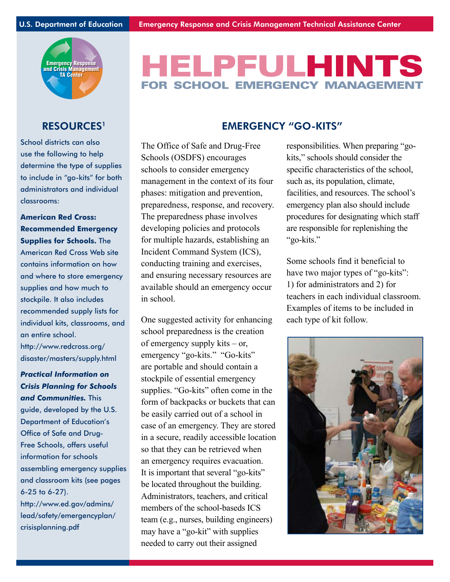

# HELPFULHINTS FOR SCHOOL EMERGENCY MANAGEMF

School districts can also use the following to help determine the type of supplies to include in "go-kits" for both administrators and individual classrooms:

**American Red Cross: Recommended Emergency Supplies for Schools.** The American Red Cross Web site contains information on how and where to store emergency supplies and how much to stockpile. It also includes recommended supply lists for individual kits, classrooms, and an entire school.

http://www.redcross.org/ disaster/masters/supply.html

*Practical Information on Crisis Planning for Schools and Communities.* This guide, developed by the U.S. Department of Education's Office of Safe and Drug-Free Schools, offers useful information for schools assembling emergency supplies and classroom kits (see pages 6-25 to 6-27). http://www.ed.gov/admins/ lead/safety/emergencyplan/ crisisplanning.pdf

# RESOURCES<sup>1</sup> EMERGENCY "GO-KITS"

The Office of Safe and Drug-Free Schools (OSDFS) encourages schools to consider emergency management in the context of its four phases: mitigation and prevention, preparedness, response, and recovery. The preparedness phase involves developing policies and protocols for multiple hazards, establishing an Incident Command System (ICS), conducting training and exercises, and ensuring necessary resources are available should an emergency occur in school.

One suggested activity for enhancing school preparedness is the creation of emergency supply kits – or, emergency "go-kits." "Go-kits" are portable and should contain a stockpile of essential emergency supplies. "Go-kits" often come in the form of backpacks or buckets that can be easily carried out of a school in case of an emergency. They are stored in a secure, readily accessible location so that they can be retrieved when an emergency requires evacuation. It is important that several "go-kits" be located throughout the building. Administrators, teachers, and critical members of the school-baseds ICS team (e.g., nurses, building engineers) may have a "go-kit" with supplies needed to carry out their assigned

responsibilities. When preparing "gokits," schools should consider the specific characteristics of the school, such as, its population, climate, facilities, and resources. The school's emergency plan also should include procedures for designating which staff are responsible for replenishing the "go-kits."

Some schools find it beneficial to have two major types of "go-kits": 1) for administrators and 2) for teachers in each individual classroom. Examples of items to be included in each type of kit follow.